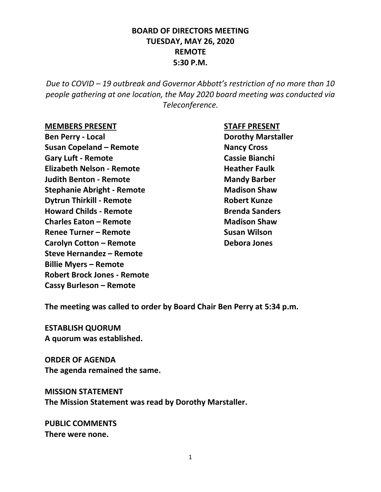## **BOARD OF DIRECTORS MEETING TUESDAY, MAY 26, 2020 REMOTE 5:30 P.M.**

*Due to COVID – 19 outbreak and Governor Abbott's restriction of no more than 10 people gathering at one location, the May 2020 board meeting was conducted via Teleconference.*

#### **MEMBERS PRESENT STAFF PRESENT**

**Ben Perry - Local Dorothy Marstaller Susan Copeland – Remote Nancy Cross Gary Luft - Remote** Cassie Bianchi **Elizabeth Nelson - Remote Heather Faulk Judith Benton - Remote Mandy Barber Stephanie Abright - Remote Madison Shaw Dytrun Thirkill - Remote Robert Kunze Howard Childs - Remote Brenda Sanders Charles Eaton – Remote Madison Shaw Renee Turner – Remote Susan Wilson Carolyn Cotton – Remote Debora Jones Steve Hernandez – Remote Billie Myers – Remote Robert Brock Jones - Remote Cassy Burleson – Remote**

**The meeting was called to order by Board Chair Ben Perry at 5:34 p.m.**

**ESTABLISH QUORUM A quorum was established.**

**ORDER OF AGENDA The agenda remained the same.**

**MISSION STATEMENT The Mission Statement was read by Dorothy Marstaller.**

**PUBLIC COMMENTS There were none.**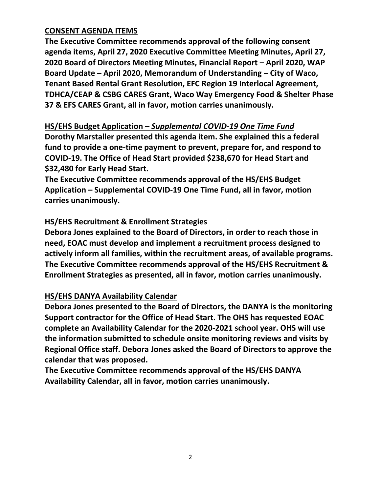## **CONSENT AGENDA ITEMS**

**The Executive Committee recommends approval of the following consent agenda items, April 27, 2020 Executive Committee Meeting Minutes, April 27, 2020 Board of Directors Meeting Minutes, Financial Report – April 2020, WAP Board Update – April 2020, Memorandum of Understanding – City of Waco, Tenant Based Rental Grant Resolution, EFC Region 19 Interlocal Agreement, TDHCA/CEAP & CSBG CARES Grant, Waco Way Emergency Food & Shelter Phase 37 & EFS CARES Grant, all in favor, motion carries unanimously.**

## **HS/EHS Budget Application –** *Supplemental COVID-19 One Time Fund*

**Dorothy Marstaller presented this agenda item. She explained this a federal fund to provide a one-time payment to prevent, prepare for, and respond to COVID-19. The Office of Head Start provided \$238,670 for Head Start and \$32,480 for Early Head Start.**

**The Executive Committee recommends approval of the HS/EHS Budget Application – Supplemental COVID-19 One Time Fund, all in favor, motion carries unanimously.**

# **HS/EHS Recruitment & Enrollment Strategies**

**Debora Jones explained to the Board of Directors, in order to reach those in need, EOAC must develop and implement a recruitment process designed to actively inform all families, within the recruitment areas, of available programs. The Executive Committee recommends approval of the HS/EHS Recruitment & Enrollment Strategies as presented, all in favor, motion carries unanimously.**

## **HS/EHS DANYA Availability Calendar**

**Debora Jones presented to the Board of Directors, the DANYA is the monitoring Support contractor for the Office of Head Start. The OHS has requested EOAC complete an Availability Calendar for the 2020-2021 school year. OHS will use the information submitted to schedule onsite monitoring reviews and visits by Regional Office staff. Debora Jones asked the Board of Directors to approve the calendar that was proposed.**

**The Executive Committee recommends approval of the HS/EHS DANYA Availability Calendar, all in favor, motion carries unanimously.**